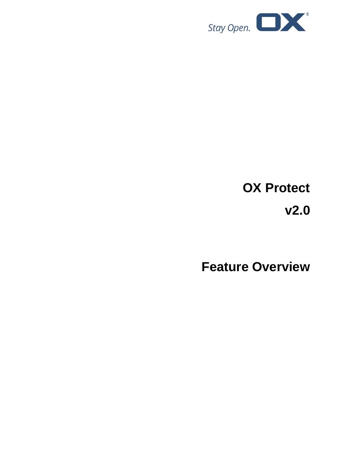

# **OX Protect**

# **v2.0**

**Feature Overview**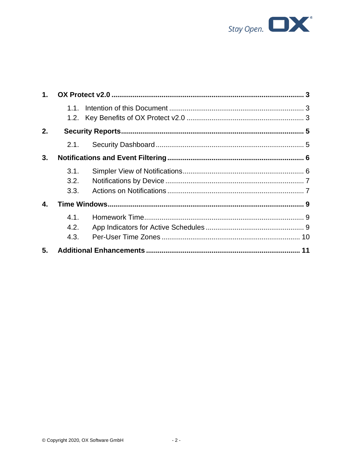

| 1. |      |  |  |
|----|------|--|--|
|    | 1.1  |  |  |
|    |      |  |  |
| 2. |      |  |  |
|    | 2.1. |  |  |
| 3. |      |  |  |
|    | 3.1. |  |  |
|    | 3.2. |  |  |
|    | 3.3. |  |  |
| 4. |      |  |  |
|    | 4.1. |  |  |
|    | 4.2. |  |  |
|    | 4.3. |  |  |
| 5. |      |  |  |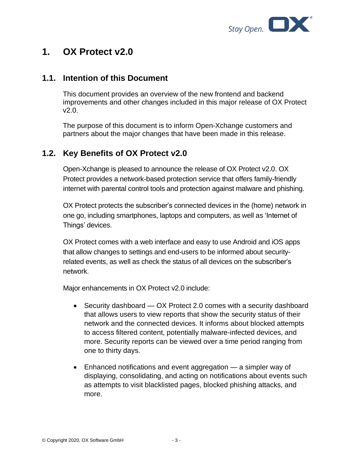

# **1. OX Protect v2.0**

#### **1.1. Intention of this Document**

This document provides an overview of the new frontend and backend improvements and other changes included in this major release of OX Protect v2.0.

The purpose of this document is to inform Open-Xchange customers and partners about the major changes that have been made in this release.

#### **1.2. Key Benefits of OX Protect v2.0**

Open-Xchange is pleased to announce the release of OX Protect v2.0. OX Protect provides a network-based protection service that offers family-friendly internet with parental control tools and protection against malware and phishing.

OX Protect protects the subscriber's connected devices in the (home) network in one go, including smartphones, laptops and computers, as well as 'Internet of Things' devices.

OX Protect comes with a web interface and easy to use Android and iOS apps that allow changes to settings and end-users to be informed about securityrelated events, as well as check the status of all devices on the subscriber's network.

Major enhancements in OX Protect v2.0 include:

- Security dashboard OX Protect 2.0 comes with a security dashboard that allows users to view reports that show the security status of their network and the connected devices. It informs about blocked attempts to access filtered content, potentially malware-infected devices, and more. Security reports can be viewed over a time period ranging from one to thirty days.
- Enhanced notifications and event aggregation a simpler way of displaying, consolidating, and acting on notifications about events such as attempts to visit blacklisted pages, blocked phishing attacks, and more.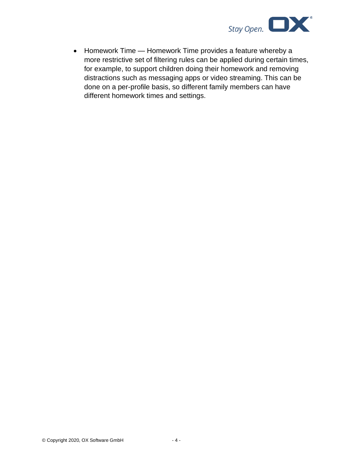

• Homework Time — Homework Time provides a feature whereby a more restrictive set of filtering rules can be applied during certain times, for example, to support children doing their homework and removing distractions such as messaging apps or video streaming. This can be done on a per-profile basis, so different family members can have different homework times and settings.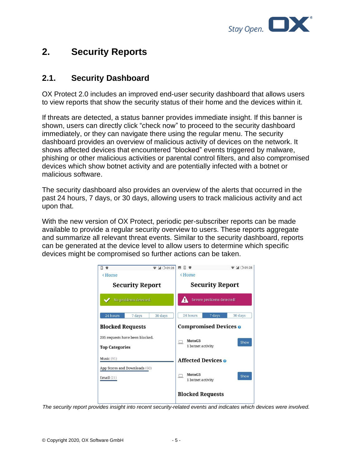

# **2. Security Reports**

#### **2.1. Security Dashboard**

OX Protect 2.0 includes an improved end-user security dashboard that allows users to view reports that show the security status of their home and the devices within it.

If threats are detected, a status banner provides immediate insight. If this banner is shown, users can directly click "check now" to proceed to the security dashboard immediately, or they can navigate there using the regular menu. The security dashboard provides an overview of malicious activity of devices on the network. It shows affected devices that encountered "blocked" events triggered by malware, phishing or other malicious activities or parental control filters, and also compromised devices which show botnet activity and are potentially infected with a botnet or malicious software.

The security dashboard also provides an overview of the alerts that occurred in the past 24 hours, 7 days, or 30 days, allowing users to track malicious activity and act upon that.

With the new version of OX Protect, periodic per-subscriber reports can be made available to provide a regular security overview to users. These reports aggregate and summarize all relevant threat events. Similar to the security dashboard, reports can be generated at the device level to allow users to determine which specific devices might be compromised so further actions can be taken.



*The security report provides insight into recent security-related events and indicates which devices were involved.*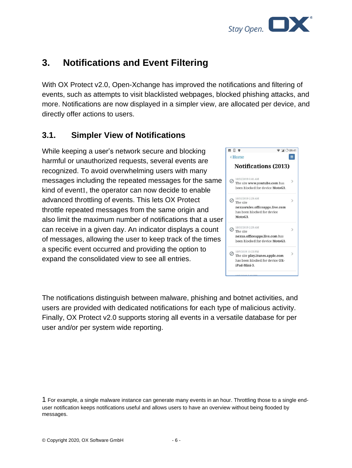

# **3. Notifications and Event Filtering**

With OX Protect v2.0, Open-Xchange has improved the notifications and filtering of events, such as attempts to visit blacklisted webpages, blocked phishing attacks, and more. Notifications are now displayed in a simpler view, are allocated per device, and directly offer actions to users.

#### **3.1. Simpler View of Notifications**

While keeping a user's network secure and blocking harmful or unauthorized requests, several events are recognized. To avoid overwhelming users with many messages including the repeated messages for the same kind of event1, the operator can now decide to enable advanced throttling of events. This lets OX Protect throttle repeated messages from the same origin and also limit the maximum number of notifications that a user can receive in a given day. An indicator displays a count of messages, allowing the user to keep track of the times a specific event occurred and providing the option to expand the consolidated view to see all entries.



The notifications distinguish between malware, phishing and botnet activities, and users are provided with dedicated notifications for each type of malicious activity. Finally, OX Protect v2.0 supports storing all events in a versatile database for per user and/or per system wide reporting.

1 For example, a single malware instance can generate many events in an hour. Throttling those to a single enduser notification keeps notifications useful and allows users to have an overview without being flooded by messages.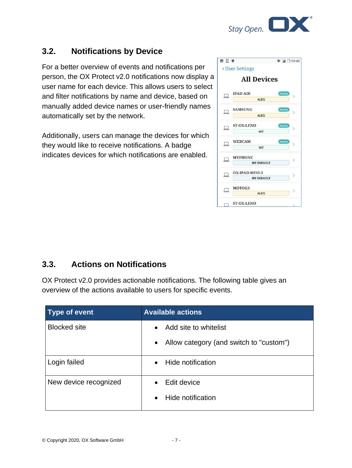

### **3.2. Notifications by Device**

For a better overview of events and notifications per person, the OX Protect v2.0 notifications now display a user name for each device. This allows users to select and filter notifications by name and device, based on manually added device names or user-friendly names automatically set by the network.

Additionally, users can manage the devices for which they would like to receive notifications. A badge indicates devices for which notifications are enabled.



#### **3.3. Actions on Notifications**

OX Protect v2.0 provides actionable notifications. The following table gives an overview of the actions available to users for specific events.

| <b>Type of event</b>  | <b>Available actions</b>                             |  |
|-----------------------|------------------------------------------------------|--|
| <b>Blocked site</b>   | Add site to whitelist<br>$\bullet$                   |  |
|                       | Allow category (and switch to "custom")<br>$\bullet$ |  |
| Login failed          | Hide notification<br>$\bullet$                       |  |
| New device recognized | Edit device<br>$\bullet$                             |  |
|                       | Hide notification<br>$\bullet$                       |  |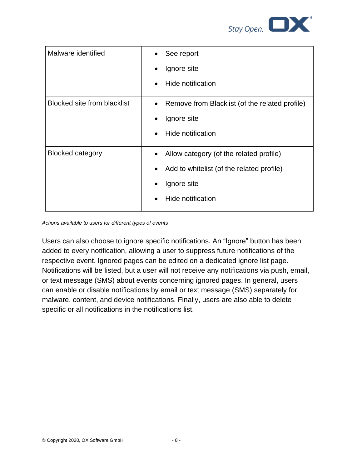

| Malware identified                 | See report                                     |
|------------------------------------|------------------------------------------------|
|                                    | Ignore site                                    |
|                                    | Hide notification                              |
| <b>Blocked site from blacklist</b> | Remove from Blacklist (of the related profile) |
|                                    | Ignore site                                    |
|                                    | Hide notification<br>$\bullet$                 |
| <b>Blocked category</b>            | Allow category (of the related profile)        |
|                                    | Add to whitelist (of the related profile)      |
|                                    | Ignore site                                    |
|                                    | Hide notification                              |
|                                    |                                                |

*Actions available to users for different types of events*

Users can also choose to ignore specific notifications. An "Ignore" button has been added to every notification, allowing a user to suppress future notifications of the respective event. Ignored pages can be edited on a dedicated ignore list page. Notifications will be listed, but a user will not receive any notifications via push, email, or text message (SMS) about events concerning ignored pages. In general, users can enable or disable notifications by email or text message (SMS) separately for malware, content, and device notifications. Finally, users are also able to delete specific or all notifications in the notifications list.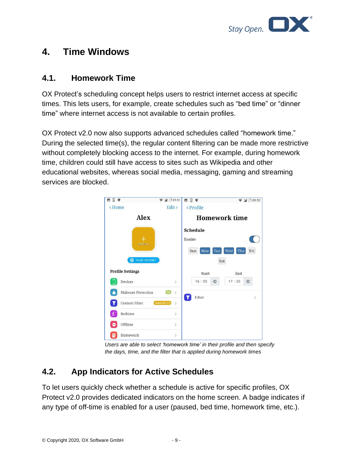

# **4. Time Windows**

#### **4.1. Homework Time**

OX Protect's scheduling concept helps users to restrict internet access at specific times. This lets users, for example, create schedules such as "bed time" or "dinner time" where internet access is not available to certain profiles.

OX Protect v2.0 now also supports advanced schedules called "homework time." During the selected time(s), the regular content filtering can be made more restrictive without completely blocking access to the internet. For example, during homework time, children could still have access to sites such as Wikipedia and other educational websites, whereas social media, messaging, gaming and streaming services are blocked.



*Users are able to select 'homework time' in their profile and then specify the days, time, and the filter that is applied during homework times*

# **4.2. App Indicators for Active Schedules**

To let users quickly check whether a schedule is active for specific profiles, OX Protect v2.0 provides dedicated indicators on the home screen. A badge indicates if any type of off-time is enabled for a user (paused, bed time, homework time, etc.).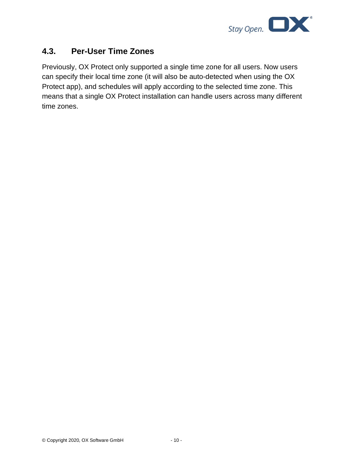

#### **4.3. Per-User Time Zones**

Previously, OX Protect only supported a single time zone for all users. Now users can specify their local time zone (it will also be auto-detected when using the OX Protect app), and schedules will apply according to the selected time zone. This means that a single OX Protect installation can handle users across many different time zones.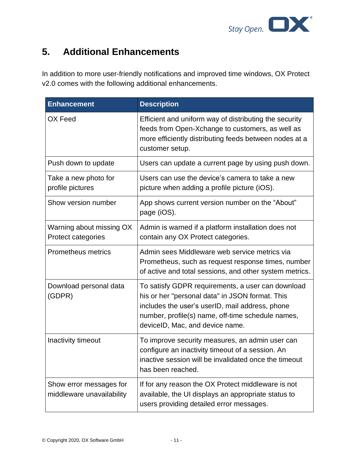

# **5. Additional Enhancements**

In addition to more user-friendly notifications and improved time windows, OX Protect v2.0 comes with the following additional enhancements.

| <b>Enhancement</b>                                   | <b>Description</b>                                                                                                                                                                                                                              |
|------------------------------------------------------|-------------------------------------------------------------------------------------------------------------------------------------------------------------------------------------------------------------------------------------------------|
| OX Feed                                              | Efficient and uniform way of distributing the security<br>feeds from Open-Xchange to customers, as well as<br>more efficiently distributing feeds between nodes at a<br>customer setup.                                                         |
| Push down to update                                  | Users can update a current page by using push down.                                                                                                                                                                                             |
| Take a new photo for<br>profile pictures             | Users can use the device's camera to take a new<br>picture when adding a profile picture (iOS).                                                                                                                                                 |
| Show version number                                  | App shows current version number on the "About"<br>page (iOS).                                                                                                                                                                                  |
| Warning about missing OX<br>Protect categories       | Admin is warned if a platform installation does not<br>contain any OX Protect categories.                                                                                                                                                       |
| <b>Prometheus metrics</b>                            | Admin sees Middleware web service metrics via<br>Prometheus, such as request response times, number<br>of active and total sessions, and other system metrics.                                                                                  |
| Download personal data<br>(GDPR)                     | To satisfy GDPR requirements, a user can download<br>his or her "personal data" in JSON format. This<br>includes the user's userID, mail address, phone<br>number, profile(s) name, off-time schedule names,<br>deviceID, Mac, and device name. |
| Inactivity timeout                                   | To improve security measures, an admin user can<br>configure an inactivity timeout of a session. An<br>inactive session will be invalidated once the timeout<br>has been reached.                                                               |
| Show error messages for<br>middleware unavailability | If for any reason the OX Protect middleware is not<br>available, the UI displays an appropriate status to<br>users providing detailed error messages.                                                                                           |